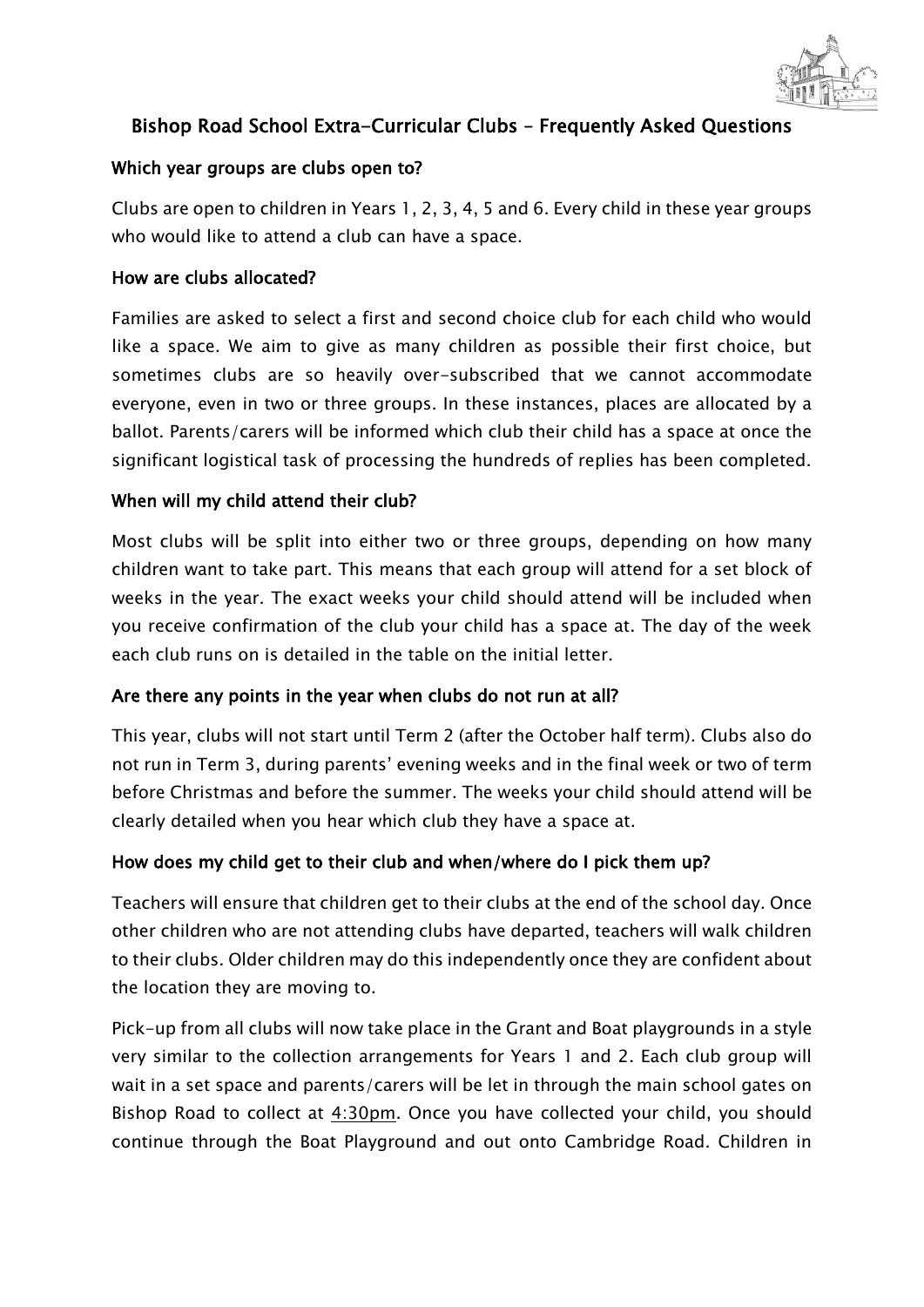

# Bishop Road School Extra-Curricular Clubs – Frequently Asked Questions

#### Which year groups are clubs open to?

Clubs are open to children in Years 1, 2, 3, 4, 5 and 6. Every child in these year groups who would like to attend a club can have a space.

#### How are clubs allocated?

Families are asked to select a first and second choice club for each child who would like a space. We aim to give as many children as possible their first choice, but sometimes clubs are so heavily over-subscribed that we cannot accommodate everyone, even in two or three groups. In these instances, places are allocated by a ballot. Parents/carers will be informed which club their child has a space at once the significant logistical task of processing the hundreds of replies has been completed.

#### When will my child attend their club?

Most clubs will be split into either two or three groups, depending on how many children want to take part. This means that each group will attend for a set block of weeks in the year. The exact weeks your child should attend will be included when you receive confirmation of the club your child has a space at. The day of the week each club runs on is detailed in the table on the initial letter.

# Are there any points in the year when clubs do not run at all?

This year, clubs will not start until Term 2 (after the October half term). Clubs also do not run in Term 3, during parents' evening weeks and in the final week or two of term before Christmas and before the summer. The weeks your child should attend will be clearly detailed when you hear which club they have a space at.

# How does my child get to their club and when/where do I pick them up?

Teachers will ensure that children get to their clubs at the end of the school day. Once other children who are not attending clubs have departed, teachers will walk children to their clubs. Older children may do this independently once they are confident about the location they are moving to.

Pick-up from all clubs will now take place in the Grant and Boat playgrounds in a style very similar to the collection arrangements for Years 1 and 2. Each club group will wait in a set space and parents/carers will be let in through the main school gates on Bishop Road to collect at 4:30pm. Once you have collected your child, you should continue through the Boat Playground and out onto Cambridge Road. Children in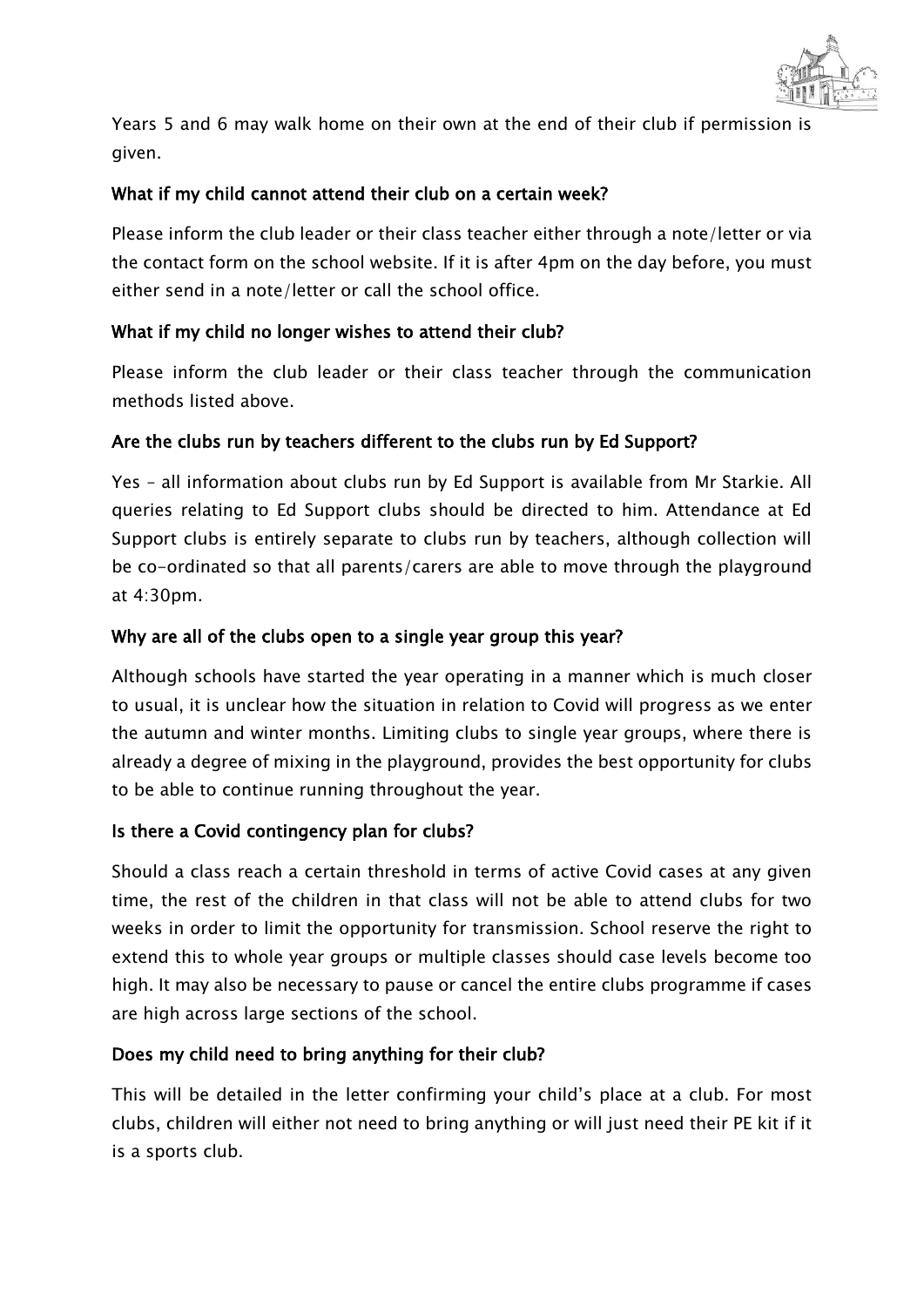

Years 5 and 6 may walk home on their own at the end of their club if permission is given.

# What if my child cannot attend their club on a certain week?

Please inform the club leader or their class teacher either through a note/letter or via the contact form on the school website. If it is after 4pm on the day before, you must either send in a note/letter or call the school office.

# What if my child no longer wishes to attend their club?

Please inform the club leader or their class teacher through the communication methods listed above.

# Are the clubs run by teachers different to the clubs run by Ed Support?

Yes – all information about clubs run by Ed Support is available from Mr Starkie. All queries relating to Ed Support clubs should be directed to him. Attendance at Ed Support clubs is entirely separate to clubs run by teachers, although collection will be co-ordinated so that all parents/carers are able to move through the playground at 4:30pm.

# Why are all of the clubs open to a single year group this year?

Although schools have started the year operating in a manner which is much closer to usual, it is unclear how the situation in relation to Covid will progress as we enter the autumn and winter months. Limiting clubs to single year groups, where there is already a degree of mixing in the playground, provides the best opportunity for clubs to be able to continue running throughout the year.

# Is there a Covid contingency plan for clubs?

Should a class reach a certain threshold in terms of active Covid cases at any given time, the rest of the children in that class will not be able to attend clubs for two weeks in order to limit the opportunity for transmission. School reserve the right to extend this to whole year groups or multiple classes should case levels become too high. It may also be necessary to pause or cancel the entire clubs programme if cases are high across large sections of the school.

# Does my child need to bring anything for their club?

This will be detailed in the letter confirming your child's place at a club. For most clubs, children will either not need to bring anything or will just need their PE kit if it is a sports club.